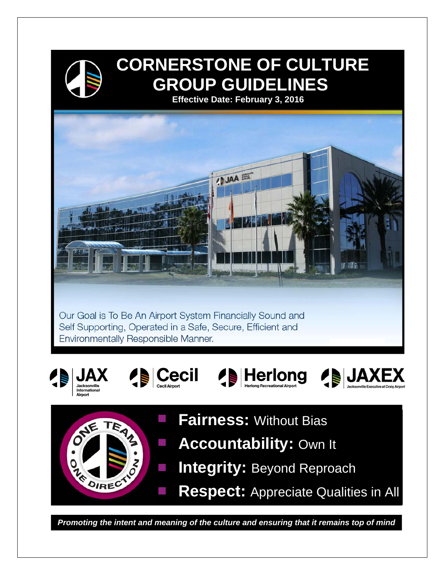

DIREC

# **CORNERSTONE OF CULTURE GROUP GUIDELINES**

 **Effective Date: February 3, 2016** 



- **Integrity: Beyond Reproach**  $\mathcal{L}_{\mathcal{A}}$ 
	- **Respect:** Appreciate Qualities in All

*Promoting the intent and meaning of the culture and ensuring that it remains top of mind*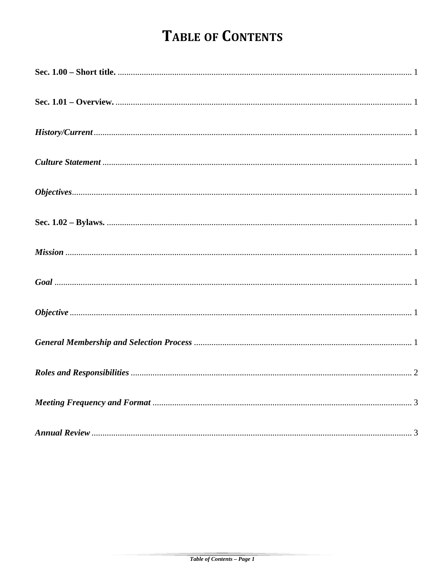## **TABLE OF CONTENTS**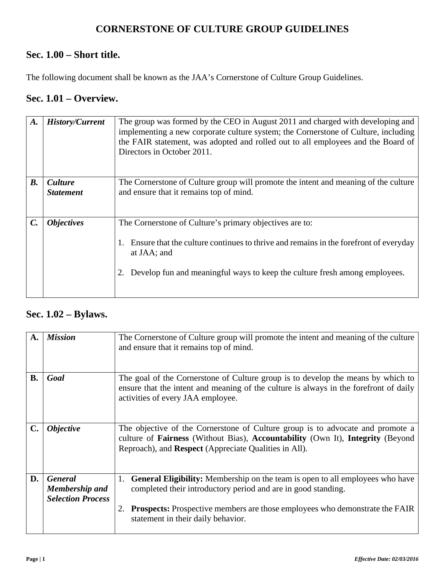### **CORNERSTONE OF CULTURE GROUP GUIDELINES**

### **Sec. 1.00 – Short title.**

The following document shall be known as the JAA's Cornerstone of Culture Group Guidelines.

#### **Sec. 1.01 – Overview.**

| A.              | <b>History/Current</b>             | The group was formed by the CEO in August 2011 and charged with developing and<br>implementing a new corporate culture system; the Cornerstone of Culture, including<br>the FAIR statement, was adopted and rolled out to all employees and the Board of<br>Directors in October 2011. |
|-----------------|------------------------------------|----------------------------------------------------------------------------------------------------------------------------------------------------------------------------------------------------------------------------------------------------------------------------------------|
| $B$ .           | <b>Culture</b><br><b>Statement</b> | The Cornerstone of Culture group will promote the intent and meaning of the culture<br>and ensure that it remains top of mind.                                                                                                                                                         |
| $\mathcal{C}$ . | <i><b>Objectives</b></i>           | The Cornerstone of Culture's primary objectives are to:<br>Ensure that the culture continues to thrive and remains in the forefront of everyday<br>1.<br>at JAA; and<br>Develop fun and meaningful ways to keep the culture fresh among employees.                                     |

#### **Sec. 1.02 – Bylaws.**

| А.             | <b>Mission</b>                                               | The Cornerstone of Culture group will promote the intent and meaning of the culture<br>and ensure that it remains top of mind.                                                                                                                                                          |
|----------------|--------------------------------------------------------------|-----------------------------------------------------------------------------------------------------------------------------------------------------------------------------------------------------------------------------------------------------------------------------------------|
| <b>B.</b>      | Goal                                                         | The goal of the Cornerstone of Culture group is to develop the means by which to<br>ensure that the intent and meaning of the culture is always in the forefront of daily<br>activities of every JAA employee.                                                                          |
| $\mathbf{C}$ . | <i><b>Objective</b></i>                                      | The objective of the Cornerstone of Culture group is to advocate and promote a<br>culture of Fairness (Without Bias), Accountability (Own It), Integrity (Beyond<br>Reproach), and Respect (Appreciate Qualities in All).                                                               |
| D.             | <b>General</b><br>Membership and<br><b>Selection Process</b> | <b>General Eligibility:</b> Membership on the team is open to all employees who have<br>1.<br>completed their introductory period and are in good standing.<br><b>Prospects:</b> Prospective members are those employees who demonstrate the FAIR<br>statement in their daily behavior. |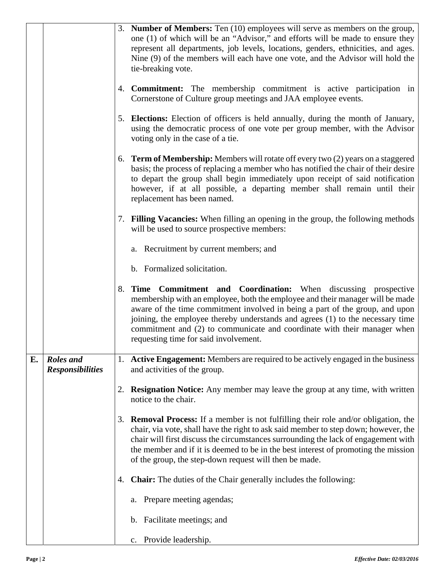|    |                                      |    | 3. Number of Members: Ten (10) employees will serve as members on the group,<br>one (1) of which will be an "Advisor," and efforts will be made to ensure they<br>represent all departments, job levels, locations, genders, ethnicities, and ages.<br>Nine (9) of the members will each have one vote, and the Advisor will hold the<br>tie-breaking vote.                                                                              |
|----|--------------------------------------|----|------------------------------------------------------------------------------------------------------------------------------------------------------------------------------------------------------------------------------------------------------------------------------------------------------------------------------------------------------------------------------------------------------------------------------------------|
|    |                                      |    | 4. <b>Commitment:</b> The membership commitment is active participation in<br>Cornerstone of Culture group meetings and JAA employee events.                                                                                                                                                                                                                                                                                             |
|    |                                      |    | 5. Elections: Election of officers is held annually, during the month of January,<br>using the democratic process of one vote per group member, with the Advisor<br>voting only in the case of a tie.                                                                                                                                                                                                                                    |
|    |                                      |    | 6. <b>Term of Membership:</b> Members will rotate off every two (2) years on a staggered<br>basis; the process of replacing a member who has notified the chair of their desire<br>to depart the group shall begin immediately upon receipt of said notification<br>however, if at all possible, a departing member shall remain until their<br>replacement has been named.                                                              |
|    |                                      |    | 7. Filling Vacancies: When filling an opening in the group, the following methods<br>will be used to source prospective members:                                                                                                                                                                                                                                                                                                         |
|    |                                      |    | a. Recruitment by current members; and                                                                                                                                                                                                                                                                                                                                                                                                   |
|    |                                      |    | b. Formalized solicitation.                                                                                                                                                                                                                                                                                                                                                                                                              |
|    |                                      |    | 8. Time Commitment and Coordination: When discussing prospective<br>membership with an employee, both the employee and their manager will be made<br>aware of the time commitment involved in being a part of the group, and upon<br>joining, the employee thereby understands and agrees (1) to the necessary time<br>commitment and (2) to communicate and coordinate with their manager when<br>requesting time for said involvement. |
| Е. | Roles and<br><b>Responsibilities</b> |    | 1. Active Engagement: Members are required to be actively engaged in the business<br>and activities of the group.                                                                                                                                                                                                                                                                                                                        |
|    |                                      | 2. | <b>Resignation Notice:</b> Any member may leave the group at any time, with written<br>notice to the chair.                                                                                                                                                                                                                                                                                                                              |
|    |                                      |    | 3. <b>Removal Process:</b> If a member is not fulfilling their role and/or obligation, the<br>chair, via vote, shall have the right to ask said member to step down; however, the<br>chair will first discuss the circumstances surrounding the lack of engagement with<br>the member and if it is deemed to be in the best interest of promoting the mission<br>of the group, the step-down request will then be made.                  |
|    |                                      |    | 4. <b>Chair:</b> The duties of the Chair generally includes the following:                                                                                                                                                                                                                                                                                                                                                               |
|    |                                      |    | a. Prepare meeting agendas;                                                                                                                                                                                                                                                                                                                                                                                                              |
|    |                                      |    | b. Facilitate meetings; and                                                                                                                                                                                                                                                                                                                                                                                                              |
|    |                                      |    | c. Provide leadership.                                                                                                                                                                                                                                                                                                                                                                                                                   |